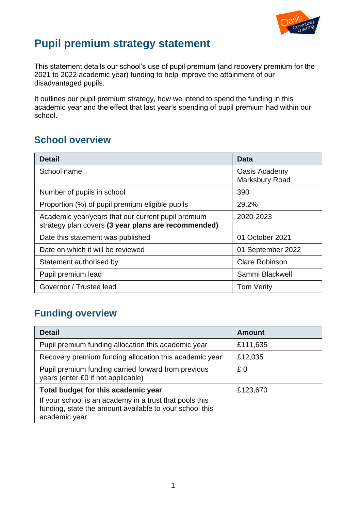

# **Pupil premium strategy statement**

This statement details our school's use of pupil premium (and recovery premium for the 2021 to 2022 academic year) funding to help improve the attainment of our disadvantaged pupils.

It outlines our pupil premium strategy, how we intend to spend the funding in this academic year and the effect that last year's spending of pupil premium had within our school.

### **School overview**

| <b>Detail</b>                                                                                             | Data                            |
|-----------------------------------------------------------------------------------------------------------|---------------------------------|
| School name                                                                                               | Oasis Academy<br>Marksbury Road |
| Number of pupils in school                                                                                | 390                             |
| Proportion (%) of pupil premium eligible pupils                                                           | 29.2%                           |
| Academic year/years that our current pupil premium<br>strategy plan covers (3 year plans are recommended) | 2020-2023                       |
| Date this statement was published                                                                         | 01 October 2021                 |
| Date on which it will be reviewed                                                                         | 01 September 2022               |
| Statement authorised by                                                                                   | <b>Clare Robinson</b>           |
| Pupil premium lead                                                                                        | Sammi Blackwell                 |
| Governor / Trustee lead                                                                                   | <b>Tom Verity</b>               |

## **Funding overview**

| <b>Detail</b>                                                                                                                       | <b>Amount</b> |
|-------------------------------------------------------------------------------------------------------------------------------------|---------------|
| Pupil premium funding allocation this academic year                                                                                 | £111,635      |
| Recovery premium funding allocation this academic year                                                                              | £12,035       |
| Pupil premium funding carried forward from previous<br>years (enter £0 if not applicable)                                           | £0            |
| Total budget for this academic year                                                                                                 | £123,670      |
| If your school is an academy in a trust that pools this<br>funding, state the amount available to your school this<br>academic year |               |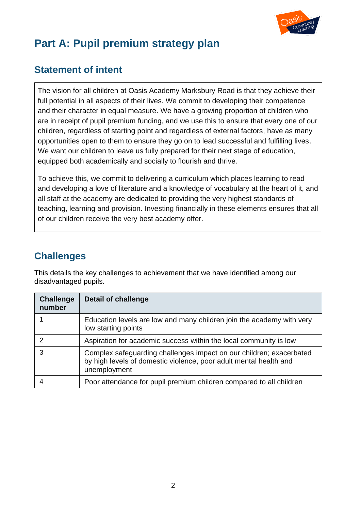

## **Part A: Pupil premium strategy plan**

### **Statement of intent**

The vision for all children at Oasis Academy Marksbury Road is that they achieve their full potential in all aspects of their lives. We commit to developing their competence and their character in equal measure. We have a growing proportion of children who are in receipt of pupil premium funding, and we use this to ensure that every one of our children, regardless of starting point and regardless of external factors, have as many opportunities open to them to ensure they go on to lead successful and fulfilling lives. We want our children to leave us fully prepared for their next stage of education, equipped both academically and socially to flourish and thrive.

To achieve this, we commit to delivering a curriculum which places learning to read and developing a love of literature and a knowledge of vocabulary at the heart of it, and all staff at the academy are dedicated to providing the very highest standards of teaching, learning and provision. Investing financially in these elements ensures that all of our children receive the very best academy offer.

## **Challenges**

This details the key challenges to achievement that we have identified among our disadvantaged pupils.

| <b>Challenge</b><br>number | <b>Detail of challenge</b>                                                                                                                               |
|----------------------------|----------------------------------------------------------------------------------------------------------------------------------------------------------|
|                            | Education levels are low and many children join the academy with very<br>low starting points                                                             |
| 2                          | Aspiration for academic success within the local community is low                                                                                        |
| 3                          | Complex safeguarding challenges impact on our children; exacerbated<br>by high levels of domestic violence, poor adult mental health and<br>unemployment |
|                            | Poor attendance for pupil premium children compared to all children                                                                                      |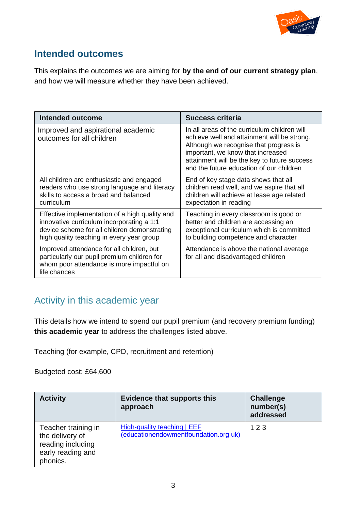

#### **Intended outcomes**

This explains the outcomes we are aiming for **by the end of our current strategy plan**, and how we will measure whether they have been achieved.

| <b>Intended outcome</b>                                                                                                                                                                  | <b>Success criteria</b>                                                                                                                                                                                                                                                |
|------------------------------------------------------------------------------------------------------------------------------------------------------------------------------------------|------------------------------------------------------------------------------------------------------------------------------------------------------------------------------------------------------------------------------------------------------------------------|
| Improved and aspirational academic<br>outcomes for all children                                                                                                                          | In all areas of the curriculum children will<br>achieve well and attainment will be strong.<br>Although we recognise that progress is<br>important, we know that increased<br>attainment will be the key to future success<br>and the future education of our children |
| All children are enthusiastic and engaged<br>readers who use strong language and literacy<br>skills to access a broad and balanced<br>curriculum                                         | End of key stage data shows that all<br>children read well, and we aspire that all<br>children will achieve at lease age related<br>expectation in reading                                                                                                             |
| Effective implementation of a high quality and<br>innovative curriculum incorporating a 1:1<br>device scheme for all children demonstrating<br>high quality teaching in every year group | Teaching in every classroom is good or<br>better and children are accessing an<br>exceptional curriculum which is committed<br>to building competence and character                                                                                                    |
| Improved attendance for all children, but<br>particularly our pupil premium children for<br>whom poor attendance is more impactful on<br>life chances                                    | Attendance is above the national average<br>for all and disadvantaged children                                                                                                                                                                                         |

## Activity in this academic year

This details how we intend to spend our pupil premium (and recovery premium funding) **this academic year** to address the challenges listed above.

Teaching (for example, CPD, recruitment and retention)

Budgeted cost: £64,600

| <b>Activity</b>                                                                              | <b>Evidence that supports this</b><br>approach                       | <b>Challenge</b><br>number(s)<br>addressed |
|----------------------------------------------------------------------------------------------|----------------------------------------------------------------------|--------------------------------------------|
| Teacher training in<br>the delivery of<br>reading including<br>early reading and<br>phonics. | High-quality teaching   EEF<br>(educationendowmentfoundation.org.uk) | 123                                        |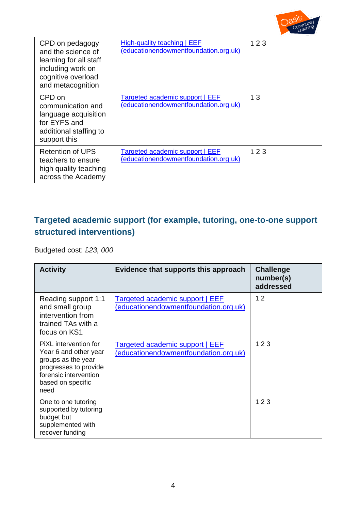

| CPD on pedagogy<br>and the science of<br>learning for all staff<br>including work on<br>cognitive overload<br>and metacognition | High-quality teaching   EEF<br>(educationendowmentfoundation.org.uk)            | 123 |
|---------------------------------------------------------------------------------------------------------------------------------|---------------------------------------------------------------------------------|-----|
| CPD on<br>communication and<br>language acquisition<br>for EYFS and<br>additional staffing to<br>support this                   | Targeted academic support   EEF<br>(educationendowmentfoundation.org.uk)        | 13  |
| <b>Retention of UPS</b><br>teachers to ensure<br>high quality teaching<br>across the Academy                                    | <b>Targeted academic support   EEF</b><br>(educationendowmentfoundation.org.uk) | 123 |

### **Targeted academic support (for example, tutoring, one-to-one support structured interventions)**

Budgeted cost: £*23, 000* 

| <b>Activity</b>                                                                                                                                     | Evidence that supports this approach                                     | <b>Challenge</b><br>number(s)<br>addressed |
|-----------------------------------------------------------------------------------------------------------------------------------------------------|--------------------------------------------------------------------------|--------------------------------------------|
| Reading support 1:1<br>and small group<br>intervention from<br>trained TAs with a<br>focus on KS1                                                   | Targeted academic support   EEF<br>(educationendowmentfoundation.org.uk) | 12                                         |
| PiXL intervention for<br>Year 6 and other year<br>groups as the year<br>progresses to provide<br>forensic intervention<br>based on specific<br>need | Targeted academic support   EEF<br>(educationendowmentfoundation.org.uk) | 123                                        |
| One to one tutoring<br>supported by tutoring<br>budget but<br>supplemented with<br>recover funding                                                  |                                                                          | 123                                        |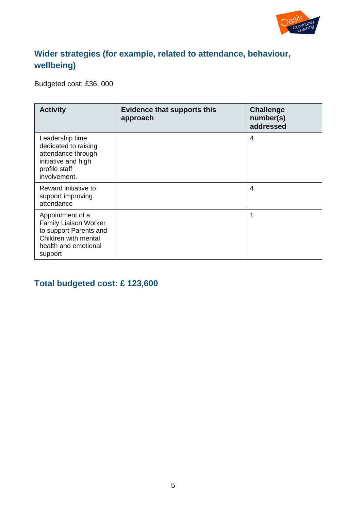

#### **Wider strategies (for example, related to attendance, behaviour, wellbeing)**

Budgeted cost: £36, 000

| <b>Activity</b>                                                                                                                       | <b>Evidence that supports this</b><br>approach | <b>Challenge</b><br>number(s)<br>addressed |
|---------------------------------------------------------------------------------------------------------------------------------------|------------------------------------------------|--------------------------------------------|
| Leadership time<br>dedicated to raising<br>attendance through<br>initiative and high<br>profile staff<br>involvement.                 |                                                | 4                                          |
| Reward initiative to<br>support improving<br>attendance                                                                               |                                                | 4                                          |
| Appointment of a<br><b>Family Liaison Worker</b><br>to support Parents and<br>Children with mental<br>health and emotional<br>support |                                                | 1                                          |

#### **Total budgeted cost: £ 123,600**